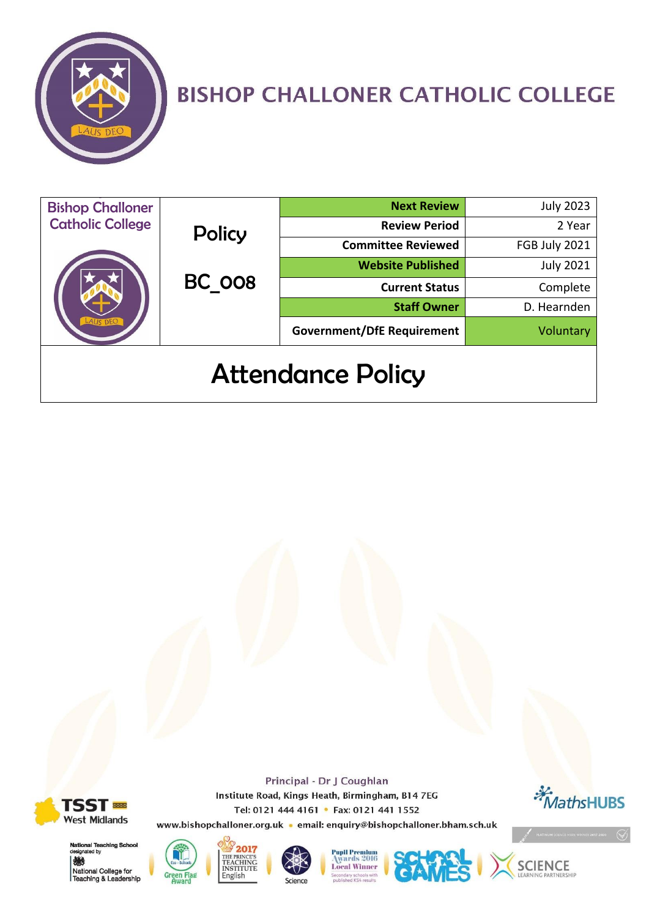

# **BISHOP CHALLONER CATHOLIC COLLEGE**

| <b>Bishop Challoner</b>  |                  | <b>Next Review</b>                | <b>July 2023</b> |
|--------------------------|------------------|-----------------------------------|------------------|
| <b>Catholic College</b>  | Policy<br>BC 008 | <b>Review Period</b>              | 2 Year           |
|                          |                  | <b>Committee Reviewed</b>         | FGB July 2021    |
|                          |                  | <b>Website Published</b>          | <b>July 2021</b> |
|                          |                  | <b>Current Status</b>             | Complete         |
|                          |                  | <b>Staff Owner</b>                | D. Hearnden      |
|                          |                  | <b>Government/DfE Requirement</b> | Voluntary        |
| <b>Attendance Policy</b> |                  |                                   |                  |



Principal - Dr J Coughlan Institute Road, Kings Heath, Birmingham, B14 7EG Tel: 0121 444 4161 • Fax: 0121 441 1552



www.bishopchalloner.org.uk · email: enquiry@bishopchalloner.bham.sch.uk



**National Teaching Schoo** ated by 燃 National College for<br>Teaching & Leadership







**Pupil Premium** 2016 **Local Winner** 



**SCIENCE**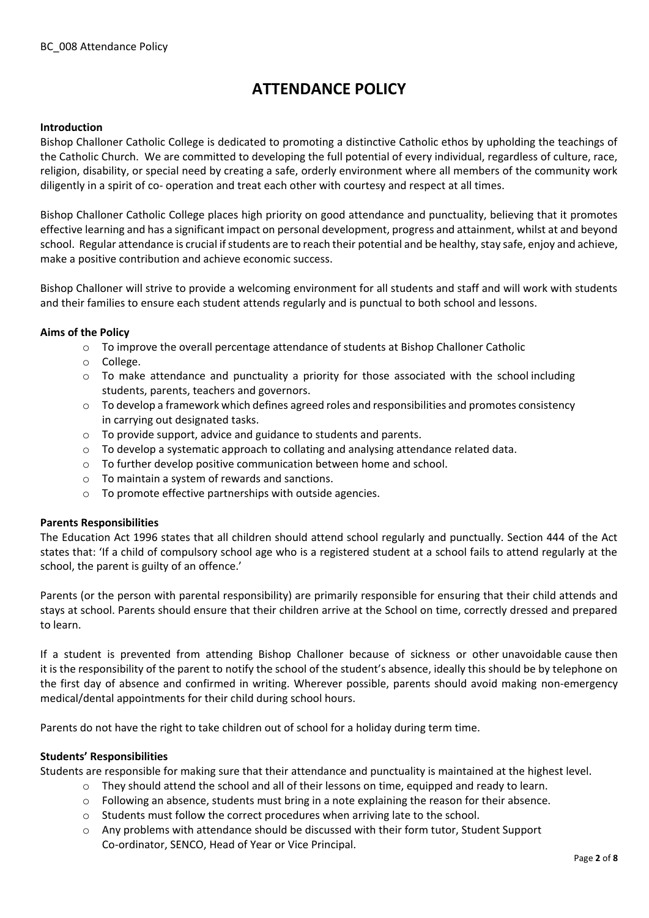# **ATTENDANCE POLICY**

# **Introduction**

Bishop Challoner Catholic College is dedicated to promoting a distinctive Catholic ethos by upholding the teachings of the Catholic Church. We are committed to developing the full potential of every individual, regardless of culture, race, religion, disability, or special need by creating a safe, orderly environment where all members of the community work diligently in a spirit of co- operation and treat each other with courtesy and respect at all times.

Bishop Challoner Catholic College places high priority on good attendance and punctuality, believing that it promotes effective learning and has a significant impact on personal development, progress and attainment, whilst at and beyond school. Regular attendance is crucial if students are to reach their potential and be healthy, stay safe, enjoy and achieve, make a positive contribution and achieve economic success.

Bishop Challoner will strive to provide a welcoming environment for all students and staff and will work with students and their families to ensure each student attends regularly and is punctual to both school and lessons.

#### **Aims of the Policy**

- o To improve the overall percentage attendance of students at Bishop Challoner Catholic
- o College.
- $\circ$  To make attendance and punctuality a priority for those associated with the school including students, parents, teachers and governors.
- $\circ$  To develop a framework which defines agreed roles and responsibilities and promotes consistency in carrying out designated tasks.
- o To provide support, advice and guidance to students and parents.
- $\circ$  To develop a systematic approach to collating and analysing attendance related data.
- o To further develop positive communication between home and school.
- o To maintain a system of rewards and sanctions.
- o To promote effective partnerships with outside agencies.

#### **Parents Responsibilities**

The Education Act 1996 states that all children should attend school regularly and punctually. Section 444 of the Act states that: 'If a child of compulsory school age who is a registered student at a school fails to attend regularly at the school, the parent is guilty of an offence.'

Parents (or the person with parental responsibility) are primarily responsible for ensuring that their child attends and stays at school. Parents should ensure that their children arrive at the School on time, correctly dressed and prepared to learn.

If a student is prevented from attending Bishop Challoner because of sickness or other unavoidable cause then it is the responsibility of the parent to notify the school of the student's absence, ideally this should be by telephone on the first day of absence and confirmed in writing. Wherever possible, parents should avoid making non-emergency medical/dental appointments for their child during school hours.

Parents do not have the right to take children out of school for a holiday during term time.

#### **Students' Responsibilities**

Students are responsible for making sure that their attendance and punctuality is maintained at the highest level.

- $\circ$  They should attend the school and all of their lessons on time, equipped and ready to learn.
- $\circ$  Following an absence, students must bring in a note explaining the reason for their absence.
- o Students must follow the correct procedures when arriving late to the school.
- o Any problems with attendance should be discussed with their form tutor, Student Support Co-ordinator, SENCO, Head of Year or Vice Principal.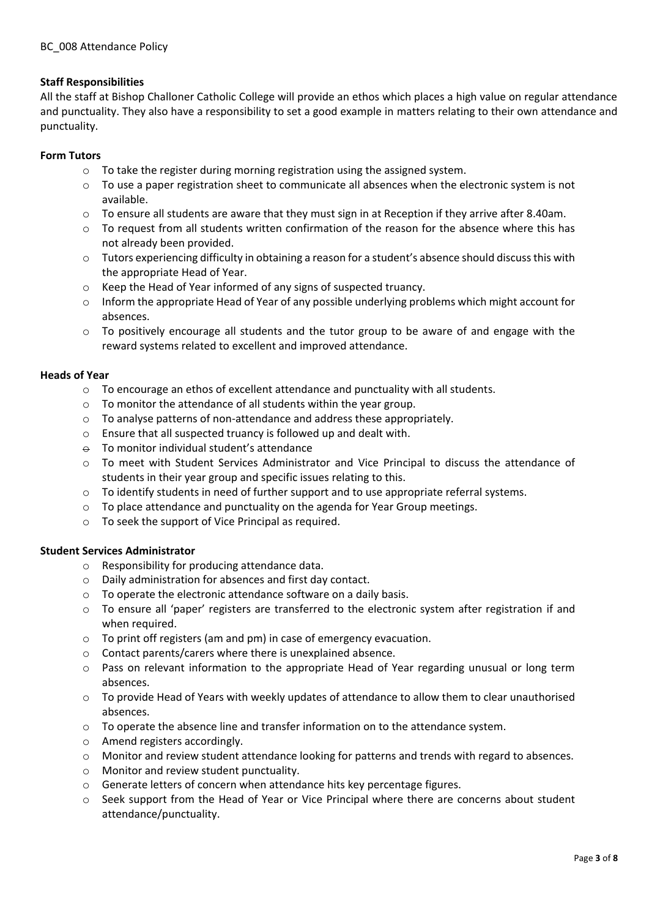# **Staff Responsibilities**

All the staff at Bishop Challoner Catholic College will provide an ethos which places a high value on regular attendance and punctuality. They also have a responsibility to set a good example in matters relating to their own attendance and punctuality.

# **Form Tutors**

- o To take the register during morning registration using the assigned system.
- o To use a paper registration sheet to communicate all absences when the electronic system is not available.
- $\circ$  To ensure all students are aware that they must sign in at Reception if they arrive after 8.40am.
- $\circ$  To request from all students written confirmation of the reason for the absence where this has not already been provided.
- $\circ$  Tutors experiencing difficulty in obtaining a reason for a student's absence should discuss this with the appropriate Head of Year.
- o Keep the Head of Year informed of any signs of suspected truancy.
- $\circ$  Inform the appropriate Head of Year of any possible underlying problems which might account for absences.
- $\circ$  To positively encourage all students and the tutor group to be aware of and engage with the reward systems related to excellent and improved attendance.

# **Heads of Year**

- $\circ$  To encourage an ethos of excellent attendance and punctuality with all students.
- o To monitor the attendance of all students within the year group.
- o To analyse patterns of non-attendance and address these appropriately.
- o Ensure that all suspected truancy is followed up and dealt with.
- $\theta$  To monitor individual student's attendance
- o To meet with Student Services Administrator and Vice Principal to discuss the attendance of students in their year group and specific issues relating to this.
- o To identify students in need of further support and to use appropriate referral systems.
- o To place attendance and punctuality on the agenda for Year Group meetings.
- o To seek the support of Vice Principal as required.

# **Student Services Administrator**

- o Responsibility for producing attendance data.
- o Daily administration for absences and first day contact.
- o To operate the electronic attendance software on a daily basis.
- o To ensure all 'paper' registers are transferred to the electronic system after registration if and when required.
- o To print off registers (am and pm) in case of emergency evacuation.
- o Contact parents/carers where there is unexplained absence.
- o Pass on relevant information to the appropriate Head of Year regarding unusual or long term absences.
- o To provide Head of Years with weekly updates of attendance to allow them to clear unauthorised absences.
- $\circ$  To operate the absence line and transfer information on to the attendance system.
- o Amend registers accordingly.
- o Monitor and review student attendance looking for patterns and trends with regard to absences.
- o Monitor and review student punctuality.
- o Generate letters of concern when attendance hits key percentage figures.
- o Seek support from the Head of Year or Vice Principal where there are concerns about student attendance/punctuality.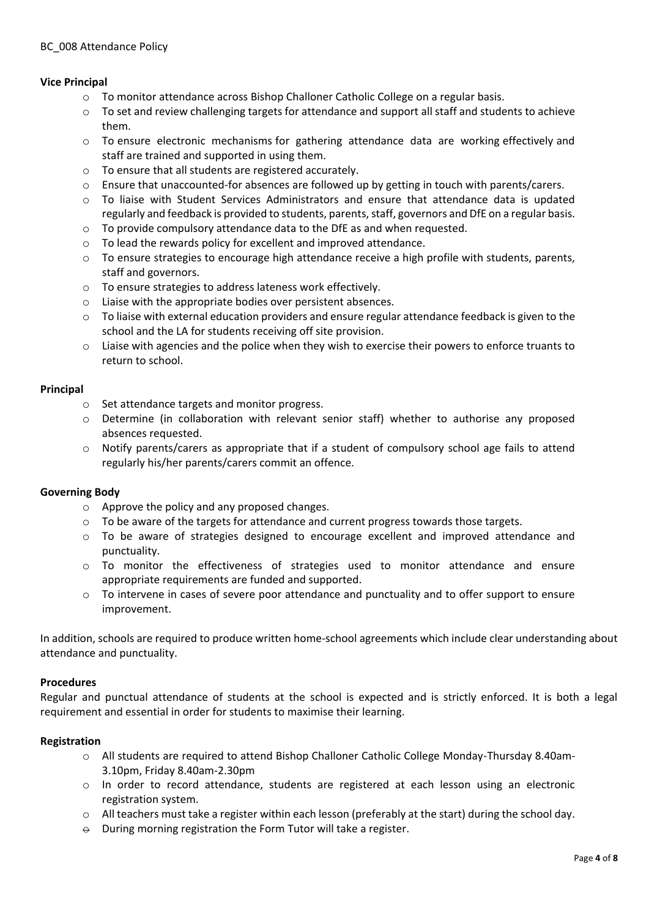# **Vice Principal**

- o To monitor attendance across Bishop Challoner Catholic College on a regular basis.
- o To set and review challenging targets for attendance and support all staff and students to achieve them.
- o To ensure electronic mechanisms for gathering attendance data are working effectively and staff are trained and supported in using them.
- o To ensure that all students are registered accurately.
- o Ensure that unaccounted-for absences are followed up by getting in touch with parents/carers.
- $\circ$  To liaise with Student Services Administrators and ensure that attendance data is updated regularly and feedback is provided to students, parents, staff, governors and DfE on a regular basis.
- o To provide compulsory attendance data to the DfE as and when requested.
- o To lead the rewards policy for excellent and improved attendance.
- $\circ$  To ensure strategies to encourage high attendance receive a high profile with students, parents, staff and governors.
- o To ensure strategies to address lateness work effectively.
- o Liaise with the appropriate bodies over persistent absences.
- o To liaise with external education providers and ensure regular attendance feedback is given to the school and the LA for students receiving off site provision.
- o Liaise with agencies and the police when they wish to exercise their powers to enforce truants to return to school.

#### **Principal**

- o Set attendance targets and monitor progress.
- o Determine (in collaboration with relevant senior staff) whether to authorise any proposed absences requested.
- $\circ$  Notify parents/carers as appropriate that if a student of compulsory school age fails to attend regularly his/her parents/carers commit an offence.

#### **Governing Body**

- o Approve the policy and any proposed changes.
- $\circ$  To be aware of the targets for attendance and current progress towards those targets.
- o To be aware of strategies designed to encourage excellent and improved attendance and punctuality.
- $\circ$  To monitor the effectiveness of strategies used to monitor attendance and ensure appropriate requirements are funded and supported.
- o To intervene in cases of severe poor attendance and punctuality and to offer support to ensure improvement.

In addition, schools are required to produce written home-school agreements which include clear understanding about attendance and punctuality.

#### **Procedures**

Regular and punctual attendance of students at the school is expected and is strictly enforced. It is both a legal requirement and essential in order for students to maximise their learning.

#### **Registration**

- o All students are required to attend Bishop Challoner Catholic College Monday-Thursday 8.40am-3.10pm, Friday 8.40am-2.30pm
- o In order to record attendance, students are registered at each lesson using an electronic registration system.
- o All teachers must take a register within each lesson (preferably at the start) during the school day.
- $\Theta$  During morning registration the Form Tutor will take a register.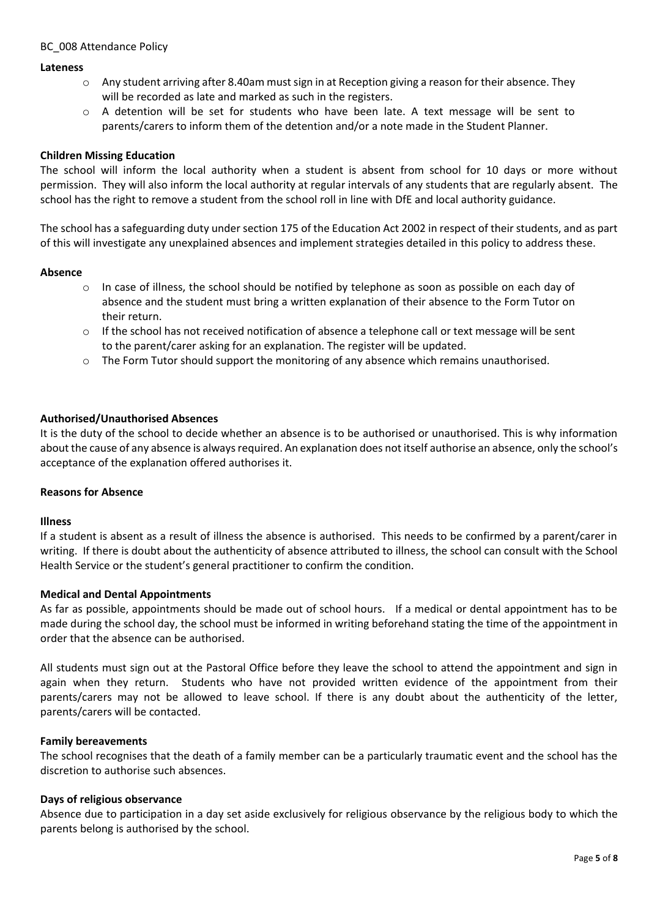## BC 008 Attendance Policy

#### **Lateness**

- $\circ$  Any student arriving after 8.40am must sign in at Reception giving a reason for their absence. They will be recorded as late and marked as such in the registers.
- o A detention will be set for students who have been late. A text message will be sent to parents/carers to inform them of the detention and/or a note made in the Student Planner.

#### **Children Missing Education**

The school will inform the local authority when a student is absent from school for 10 days or more without permission. They will also inform the local authority at regular intervals of any students that are regularly absent. The school has the right to remove a student from the school roll in line with DfE and local authority guidance.

The school has a safeguarding duty under section 175 of the Education Act 2002 in respect of their students, and as part of this will investigate any unexplained absences and implement strategies detailed in this policy to address these.

#### **Absence**

- o In case of illness, the school should be notified by telephone as soon as possible on each day of absence and the student must bring a written explanation of their absence to the Form Tutor on their return.
- $\circ$  If the school has not received notification of absence a telephone call or text message will be sent to the parent/carer asking for an explanation. The register will be updated.
- o The Form Tutor should support the monitoring of any absence which remains unauthorised.

#### **Authorised/Unauthorised Absences**

It is the duty of the school to decide whether an absence is to be authorised or unauthorised. This is why information about the cause of any absence is always required. An explanation does not itself authorise an absence, only the school's acceptance of the explanation offered authorises it.

#### **Reasons for Absence**

#### **Illness**

If a student is absent as a result of illness the absence is authorised. This needs to be confirmed by a parent/carer in writing. If there is doubt about the authenticity of absence attributed to illness, the school can consult with the School Health Service or the student's general practitioner to confirm the condition.

#### **Medical and Dental Appointments**

As far as possible, appointments should be made out of school hours. If a medical or dental appointment has to be made during the school day, the school must be informed in writing beforehand stating the time of the appointment in order that the absence can be authorised.

All students must sign out at the Pastoral Office before they leave the school to attend the appointment and sign in again when they return. Students who have not provided written evidence of the appointment from their parents/carers may not be allowed to leave school. If there is any doubt about the authenticity of the letter, parents/carers will be contacted.

#### **Family bereavements**

The school recognises that the death of a family member can be a particularly traumatic event and the school has the discretion to authorise such absences.

#### **Days of religious observance**

Absence due to participation in a day set aside exclusively for religious observance by the religious body to which the parents belong is authorised by the school.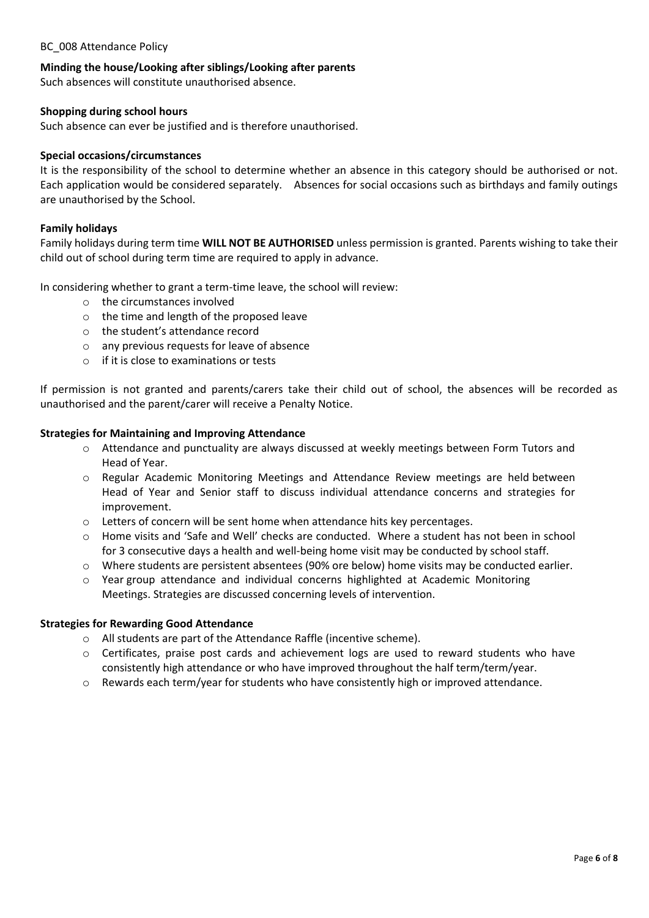# BC 008 Attendance Policy

# **Minding the house/Looking after siblings/Looking after parents**

Such absences will constitute unauthorised absence.

## **Shopping during school hours**

Such absence can ever be justified and is therefore unauthorised.

#### **Special occasions/circumstances**

It is the responsibility of the school to determine whether an absence in this category should be authorised or not. Each application would be considered separately. Absences for social occasions such as birthdays and family outings are unauthorised by the School.

#### **Family holidays**

Family holidays during term time **WILL NOT BE AUTHORISED** unless permission is granted. Parents wishing to take their child out of school during term time are required to apply in advance.

In considering whether to grant a term-time leave, the school will review:

- o the circumstances involved
- o the time and length of the proposed leave
- o the student's attendance record
- o any previous requests for leave of absence
- o if it is close to examinations or tests

If permission is not granted and parents/carers take their child out of school, the absences will be recorded as unauthorised and the parent/carer will receive a Penalty Notice.

#### **Strategies for Maintaining and Improving Attendance**

- o Attendance and punctuality are always discussed at weekly meetings between Form Tutors and Head of Year.
- o Regular Academic Monitoring Meetings and Attendance Review meetings are held between Head of Year and Senior staff to discuss individual attendance concerns and strategies for improvement.
- $\circ$  Letters of concern will be sent home when attendance hits key percentages.
- o Home visits and 'Safe and Well' checks are conducted. Where a student has not been in school for 3 consecutive days a health and well-being home visit may be conducted by school staff.
- o Where students are persistent absentees (90% ore below) home visits may be conducted earlier.
- $\circ$  Year group attendance and individual concerns highlighted at Academic Monitoring Meetings. Strategies are discussed concerning levels of intervention.

#### **Strategies for Rewarding Good Attendance**

- o All students are part of the Attendance Raffle (incentive scheme).
- o Certificates, praise post cards and achievement logs are used to reward students who have consistently high attendance or who have improved throughout the half term/term/year.
- o Rewards each term/year for students who have consistently high or improved attendance.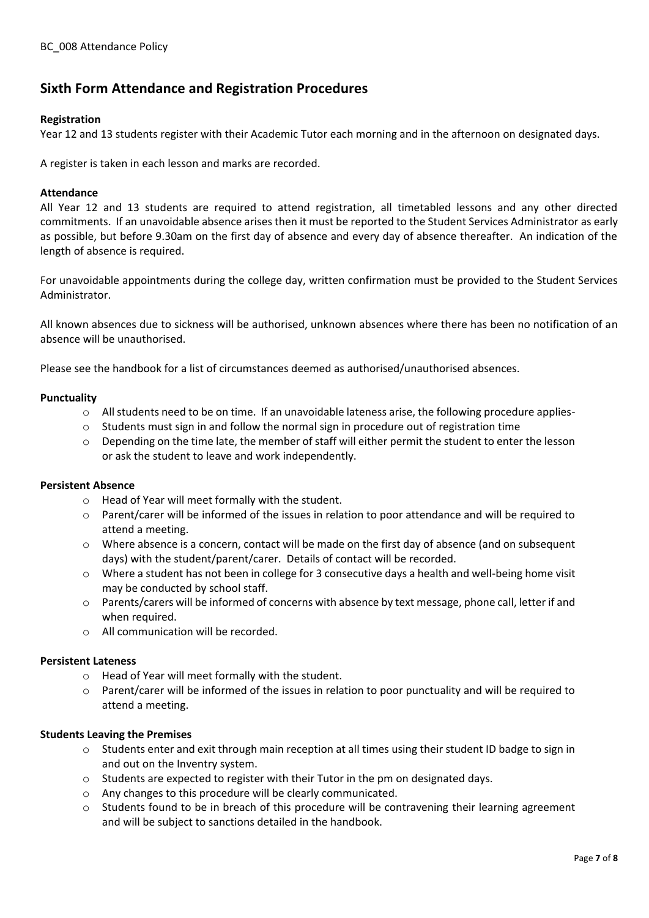# **Sixth Form Attendance and Registration Procedures**

# **Registration**

Year 12 and 13 students register with their Academic Tutor each morning and in the afternoon on designated days.

A register is taken in each lesson and marks are recorded.

# **Attendance**

All Year 12 and 13 students are required to attend registration, all timetabled lessons and any other directed commitments. If an unavoidable absence arises then it must be reported to the Student Services Administrator as early as possible, but before 9.30am on the first day of absence and every day of absence thereafter. An indication of the length of absence is required.

For unavoidable appointments during the college day, written confirmation must be provided to the Student Services Administrator.

All known absences due to sickness will be authorised, unknown absences where there has been no notification of an absence will be unauthorised.

Please see the handbook for a list of circumstances deemed as authorised/unauthorised absences.

# **Punctuality**

- $\circ$  All students need to be on time. If an unavoidable lateness arise, the following procedure applies-
- $\circ$  Students must sign in and follow the normal sign in procedure out of registration time
- o Depending on the time late, the member of staff will either permit the student to enter the lesson or ask the student to leave and work independently.

# **Persistent Absence**

- o Head of Year will meet formally with the student.
- $\circ$  Parent/carer will be informed of the issues in relation to poor attendance and will be required to attend a meeting.
- $\circ$  Where absence is a concern, contact will be made on the first day of absence (and on subsequent days) with the student/parent/carer. Details of contact will be recorded.
- o Where a student has not been in college for 3 consecutive days a health and well-being home visit may be conducted by school staff.
- $\circ$  Parents/carers will be informed of concerns with absence by text message, phone call, letter if and when required.
- o All communication will be recorded.

# **Persistent Lateness**

- o Head of Year will meet formally with the student.
- o Parent/carer will be informed of the issues in relation to poor punctuality and will be required to attend a meeting.

# **Students Leaving the Premises**

- o Students enter and exit through main reception at all times using their student ID badge to sign in and out on the Inventry system.
- $\circ$  Students are expected to register with their Tutor in the pm on designated days.
- o Any changes to this procedure will be clearly communicated.
- $\circ$  Students found to be in breach of this procedure will be contravening their learning agreement and will be subject to sanctions detailed in the handbook.